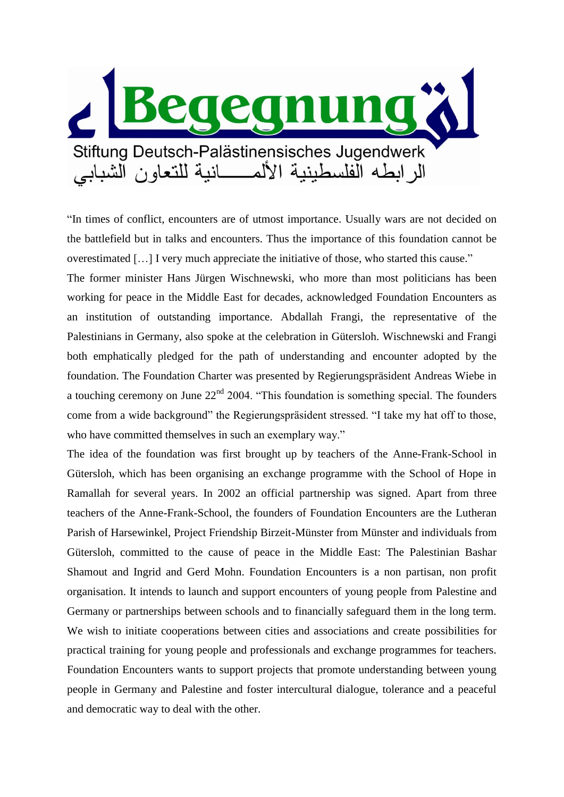

"In times of conflict, encounters are of utmost importance. Usually wars are not decided on the battlefield but in talks and encounters. Thus the importance of this foundation cannot be overestimated […] I very much appreciate the initiative of those, who started this cause."

The former minister Hans Jürgen Wischnewski, who more than most politicians has been working for peace in the Middle East for decades, acknowledged Foundation Encounters as an institution of outstanding importance. Abdallah Frangi, the representative of the Palestinians in Germany, also spoke at the celebration in Gütersloh. Wischnewski and Frangi both emphatically pledged for the path of understanding and encounter adopted by the foundation. The Foundation Charter was presented by Regierungspräsident Andreas Wiebe in a touching ceremony on June  $22<sup>nd</sup>$  2004. "This foundation is something special. The founders come from a wide background" the Regierungspräsident stressed. "I take my hat off to those, who have committed themselves in such an exemplary way."

The idea of the foundation was first brought up by teachers of the Anne-Frank-School in Gütersloh, which has been organising an exchange programme with the School of Hope in Ramallah for several years. In 2002 an official partnership was signed. Apart from three teachers of the Anne-Frank-School, the founders of Foundation Encounters are the Lutheran Parish of Harsewinkel, Project Friendship Birzeit-Münster from Münster and individuals from Gütersloh, committed to the cause of peace in the Middle East: The Palestinian Bashar Shamout and Ingrid and Gerd Mohn. Foundation Encounters is a non partisan, non profit organisation. It intends to launch and support encounters of young people from Palestine and Germany or partnerships between schools and to financially safeguard them in the long term. We wish to initiate cooperations between cities and associations and create possibilities for practical training for young people and professionals and exchange programmes for teachers. Foundation Encounters wants to support projects that promote understanding between young people in Germany and Palestine and foster intercultural dialogue, tolerance and a peaceful and democratic way to deal with the other.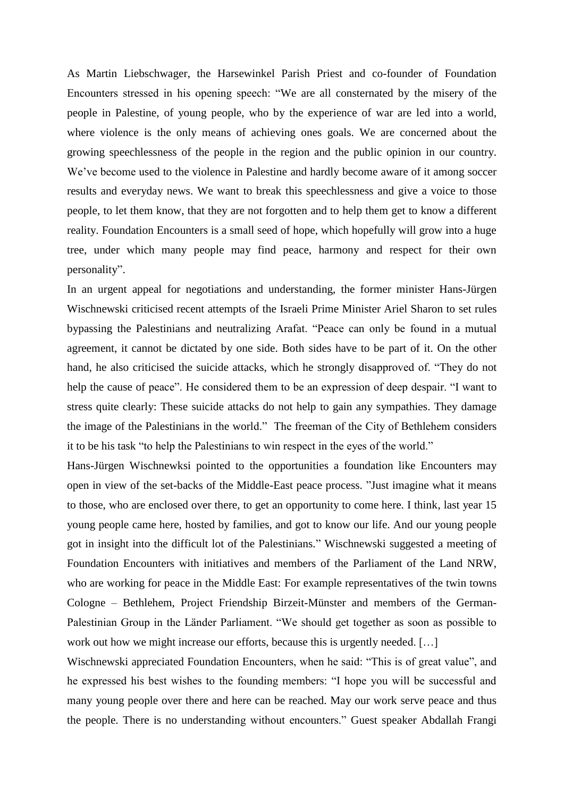As Martin Liebschwager, the Harsewinkel Parish Priest and co-founder of Foundation Encounters stressed in his opening speech: "We are all consternated by the misery of the people in Palestine, of young people, who by the experience of war are led into a world, where violence is the only means of achieving ones goals. We are concerned about the growing speechlessness of the people in the region and the public opinion in our country. We've become used to the violence in Palestine and hardly become aware of it among soccer results and everyday news. We want to break this speechlessness and give a voice to those people, to let them know, that they are not forgotten and to help them get to know a different reality. Foundation Encounters is a small seed of hope, which hopefully will grow into a huge tree, under which many people may find peace, harmony and respect for their own personality".

In an urgent appeal for negotiations and understanding, the former minister Hans-Jürgen Wischnewski criticised recent attempts of the Israeli Prime Minister Ariel Sharon to set rules bypassing the Palestinians and neutralizing Arafat. "Peace can only be found in a mutual agreement, it cannot be dictated by one side. Both sides have to be part of it. On the other hand, he also criticised the suicide attacks, which he strongly disapproved of. "They do not help the cause of peace". He considered them to be an expression of deep despair. "I want to stress quite clearly: These suicide attacks do not help to gain any sympathies. They damage the image of the Palestinians in the world." The freeman of the City of Bethlehem considers it to be his task "to help the Palestinians to win respect in the eyes of the world."

Hans-Jürgen Wischnewksi pointed to the opportunities a foundation like Encounters may open in view of the set-backs of the Middle-East peace process. "Just imagine what it means to those, who are enclosed over there, to get an opportunity to come here. I think, last year 15 young people came here, hosted by families, and got to know our life. And our young people got in insight into the difficult lot of the Palestinians." Wischnewski suggested a meeting of Foundation Encounters with initiatives and members of the Parliament of the Land NRW, who are working for peace in the Middle East: For example representatives of the twin towns Cologne – Bethlehem, Project Friendship Birzeit-Münster and members of the German-Palestinian Group in the Länder Parliament. "We should get together as soon as possible to work out how we might increase our efforts, because this is urgently needed. […]

Wischnewski appreciated Foundation Encounters, when he said: "This is of great value", and he expressed his best wishes to the founding members: "I hope you will be successful and many young people over there and here can be reached. May our work serve peace and thus the people. There is no understanding without encounters." Guest speaker Abdallah Frangi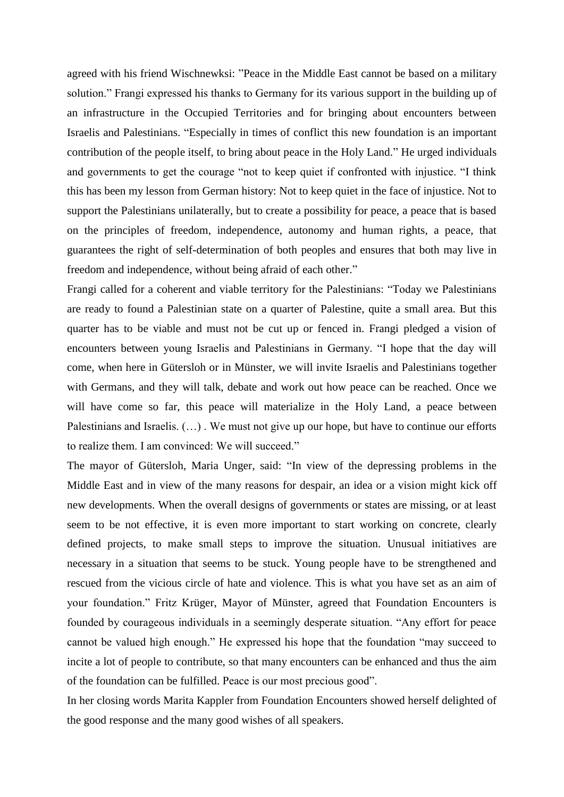agreed with his friend Wischnewksi: "Peace in the Middle East cannot be based on a military solution." Frangi expressed his thanks to Germany for its various support in the building up of an infrastructure in the Occupied Territories and for bringing about encounters between Israelis and Palestinians. "Especially in times of conflict this new foundation is an important contribution of the people itself, to bring about peace in the Holy Land." He urged individuals and governments to get the courage "not to keep quiet if confronted with injustice. "I think this has been my lesson from German history: Not to keep quiet in the face of injustice. Not to support the Palestinians unilaterally, but to create a possibility for peace, a peace that is based on the principles of freedom, independence, autonomy and human rights, a peace, that guarantees the right of self-determination of both peoples and ensures that both may live in freedom and independence, without being afraid of each other."

Frangi called for a coherent and viable territory for the Palestinians: "Today we Palestinians are ready to found a Palestinian state on a quarter of Palestine, quite a small area. But this quarter has to be viable and must not be cut up or fenced in. Frangi pledged a vision of encounters between young Israelis and Palestinians in Germany. "I hope that the day will come, when here in Gütersloh or in Münster, we will invite Israelis and Palestinians together with Germans, and they will talk, debate and work out how peace can be reached. Once we will have come so far, this peace will materialize in the Holy Land, a peace between Palestinians and Israelis. (…) . We must not give up our hope, but have to continue our efforts to realize them. I am convinced: We will succeed."

The mayor of Gütersloh, Maria Unger, said: "In view of the depressing problems in the Middle East and in view of the many reasons for despair, an idea or a vision might kick off new developments. When the overall designs of governments or states are missing, or at least seem to be not effective, it is even more important to start working on concrete, clearly defined projects, to make small steps to improve the situation. Unusual initiatives are necessary in a situation that seems to be stuck. Young people have to be strengthened and rescued from the vicious circle of hate and violence. This is what you have set as an aim of your foundation." Fritz Krüger, Mayor of Münster, agreed that Foundation Encounters is founded by courageous individuals in a seemingly desperate situation. "Any effort for peace cannot be valued high enough." He expressed his hope that the foundation "may succeed to incite a lot of people to contribute, so that many encounters can be enhanced and thus the aim of the foundation can be fulfilled. Peace is our most precious good".

In her closing words Marita Kappler from Foundation Encounters showed herself delighted of the good response and the many good wishes of all speakers.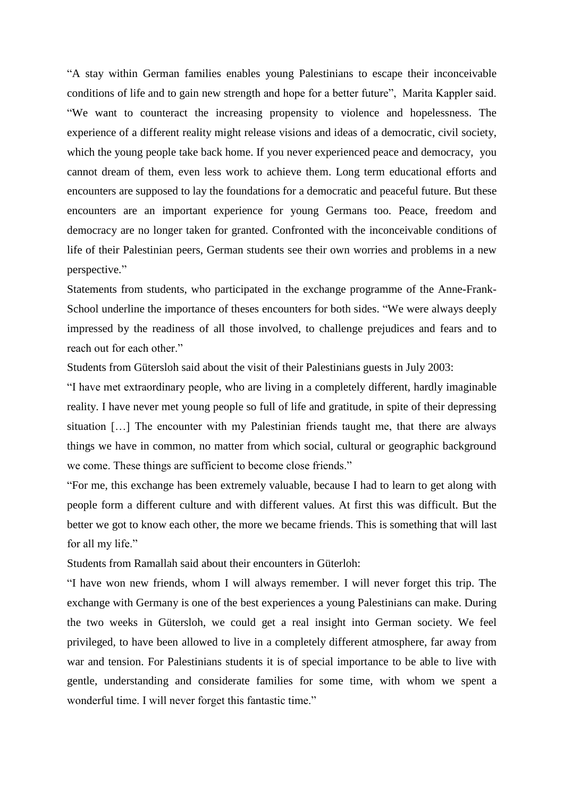"A stay within German families enables young Palestinians to escape their inconceivable conditions of life and to gain new strength and hope for a better future", Marita Kappler said. "We want to counteract the increasing propensity to violence and hopelessness. The experience of a different reality might release visions and ideas of a democratic, civil society, which the young people take back home. If you never experienced peace and democracy, you cannot dream of them, even less work to achieve them. Long term educational efforts and encounters are supposed to lay the foundations for a democratic and peaceful future. But these encounters are an important experience for young Germans too. Peace, freedom and democracy are no longer taken for granted. Confronted with the inconceivable conditions of life of their Palestinian peers, German students see their own worries and problems in a new perspective."

Statements from students, who participated in the exchange programme of the Anne-Frank-School underline the importance of theses encounters for both sides. "We were always deeply impressed by the readiness of all those involved, to challenge prejudices and fears and to reach out for each other."

Students from Gütersloh said about the visit of their Palestinians guests in July 2003:

"I have met extraordinary people, who are living in a completely different, hardly imaginable reality. I have never met young people so full of life and gratitude, in spite of their depressing situation […] The encounter with my Palestinian friends taught me, that there are always things we have in common, no matter from which social, cultural or geographic background we come. These things are sufficient to become close friends."

"For me, this exchange has been extremely valuable, because I had to learn to get along with people form a different culture and with different values. At first this was difficult. But the better we got to know each other, the more we became friends. This is something that will last for all my life."

Students from Ramallah said about their encounters in Güterloh:

"I have won new friends, whom I will always remember. I will never forget this trip. The exchange with Germany is one of the best experiences a young Palestinians can make. During the two weeks in Gütersloh, we could get a real insight into German society. We feel privileged, to have been allowed to live in a completely different atmosphere, far away from war and tension. For Palestinians students it is of special importance to be able to live with gentle, understanding and considerate families for some time, with whom we spent a wonderful time. I will never forget this fantastic time."